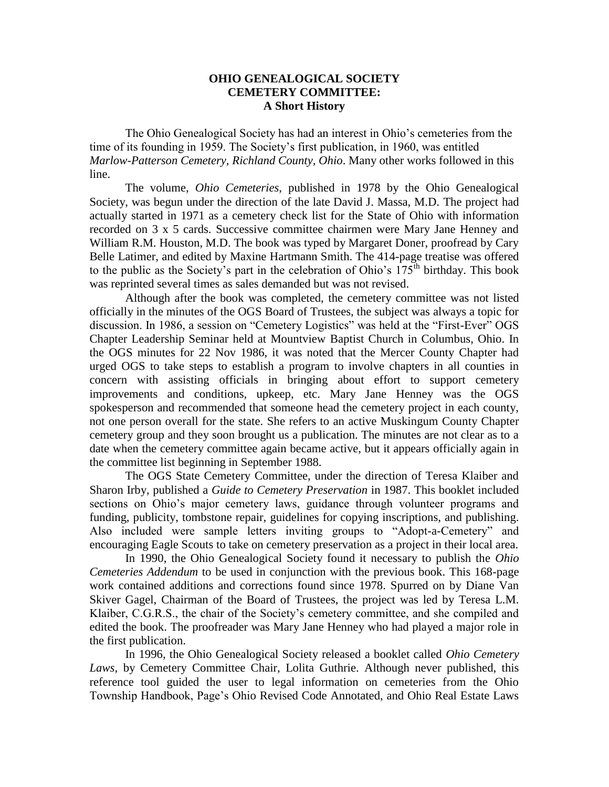## **OHIO GENEALOGICAL SOCIETY CEMETERY COMMITTEE: A Short History**

The Ohio Genealogical Society has had an interest in Ohio's cemeteries from the time of its founding in 1959. The Society's first publication, in 1960, was entitled *Marlow-Patterson Cemetery, Richland County, Ohio*. Many other works followed in this line.

The volume, *Ohio Cemeteries*, published in 1978 by the Ohio Genealogical Society, was begun under the direction of the late David J. Massa, M.D. The project had actually started in 1971 as a cemetery check list for the State of Ohio with information recorded on 3 x 5 cards. Successive committee chairmen were Mary Jane Henney and William R.M. Houston, M.D. The book was typed by Margaret Doner, proofread by Cary Belle Latimer, and edited by Maxine Hartmann Smith. The 414-page treatise was offered to the public as the Society's part in the celebration of Ohio's  $175<sup>th</sup>$  birthday. This book was reprinted several times as sales demanded but was not revised.

Although after the book was completed, the cemetery committee was not listed officially in the minutes of the OGS Board of Trustees, the subject was always a topic for discussion. In 1986, a session on "Cemetery Logistics" was held at the "First-Ever" OGS Chapter Leadership Seminar held at Mountview Baptist Church in Columbus, Ohio. In the OGS minutes for 22 Nov 1986, it was noted that the Mercer County Chapter had urged OGS to take steps to establish a program to involve chapters in all counties in concern with assisting officials in bringing about effort to support cemetery improvements and conditions, upkeep, etc. Mary Jane Henney was the OGS spokesperson and recommended that someone head the cemetery project in each county, not one person overall for the state. She refers to an active Muskingum County Chapter cemetery group and they soon brought us a publication. The minutes are not clear as to a date when the cemetery committee again became active, but it appears officially again in the committee list beginning in September 1988.

The OGS State Cemetery Committee, under the direction of Teresa Klaiber and Sharon Irby, published a *Guide to Cemetery Preservation* in 1987. This booklet included sections on Ohio's major cemetery laws, guidance through volunteer programs and funding, publicity, tombstone repair, guidelines for copying inscriptions, and publishing. Also included were sample letters inviting groups to "Adopt-a-Cemetery" and encouraging Eagle Scouts to take on cemetery preservation as a project in their local area.

In 1990, the Ohio Genealogical Society found it necessary to publish the *Ohio Cemeteries Addendum* to be used in conjunction with the previous book. This 168-page work contained additions and corrections found since 1978. Spurred on by Diane Van Skiver Gagel, Chairman of the Board of Trustees, the project was led by Teresa L.M. Klaiber, C.G.R.S., the chair of the Society's cemetery committee, and she compiled and edited the book. The proofreader was Mary Jane Henney who had played a major role in the first publication.

In 1996, the Ohio Genealogical Society released a booklet called *Ohio Cemetery Laws*, by Cemetery Committee Chair, Lolita Guthrie. Although never published, this reference tool guided the user to legal information on cemeteries from the Ohio Township Handbook, Page's Ohio Revised Code Annotated, and Ohio Real Estate Laws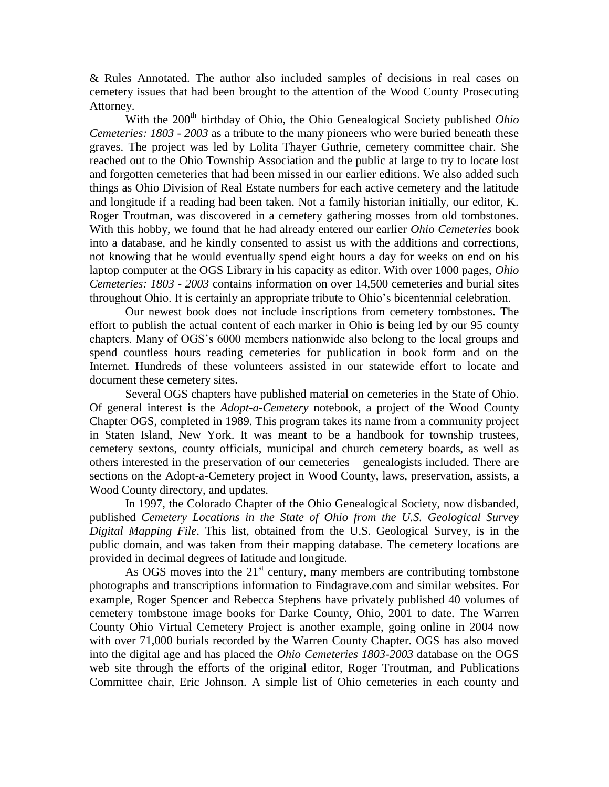& Rules Annotated. The author also included samples of decisions in real cases on cemetery issues that had been brought to the attention of the Wood County Prosecuting Attorney.

With the 200<sup>th</sup> birthday of Ohio, the Ohio Genealogical Society published *Ohio Cemeteries: 1803 - 2003* as a tribute to the many pioneers who were buried beneath these graves. The project was led by Lolita Thayer Guthrie, cemetery committee chair. She reached out to the Ohio Township Association and the public at large to try to locate lost and forgotten cemeteries that had been missed in our earlier editions. We also added such things as Ohio Division of Real Estate numbers for each active cemetery and the latitude and longitude if a reading had been taken. Not a family historian initially, our editor, K. Roger Troutman, was discovered in a cemetery gathering mosses from old tombstones. With this hobby, we found that he had already entered our earlier *Ohio Cemeteries* book into a database, and he kindly consented to assist us with the additions and corrections, not knowing that he would eventually spend eight hours a day for weeks on end on his laptop computer at the OGS Library in his capacity as editor. With over 1000 pages, *Ohio Cemeteries: 1803 - 2003* contains information on over 14,500 cemeteries and burial sites throughout Ohio. It is certainly an appropriate tribute to Ohio's bicentennial celebration.

Our newest book does not include inscriptions from cemetery tombstones. The effort to publish the actual content of each marker in Ohio is being led by our 95 county chapters. Many of OGS's 6000 members nationwide also belong to the local groups and spend countless hours reading cemeteries for publication in book form and on the Internet. Hundreds of these volunteers assisted in our statewide effort to locate and document these cemetery sites.

Several OGS chapters have published material on cemeteries in the State of Ohio. Of general interest is the *Adopt-a-Cemetery* notebook, a project of the Wood County Chapter OGS, completed in 1989. This program takes its name from a community project in Staten Island, New York. It was meant to be a handbook for township trustees, cemetery sextons, county officials, municipal and church cemetery boards, as well as others interested in the preservation of our cemeteries – genealogists included. There are sections on the Adopt-a-Cemetery project in Wood County, laws, preservation, assists, a Wood County directory, and updates.

In 1997, the Colorado Chapter of the Ohio Genealogical Society, now disbanded, published *Cemetery Locations in the State of Ohio from the U.S. Geological Survey Digital Mapping File*. This list, obtained from the U.S. Geological Survey, is in the public domain, and was taken from their mapping database. The cemetery locations are provided in decimal degrees of latitude and longitude.

As OGS moves into the  $21<sup>st</sup>$  century, many members are contributing tombstone photographs and transcriptions information to Findagrave.com and similar websites. For example, Roger Spencer and Rebecca Stephens have privately published 40 volumes of cemetery tombstone image books for Darke County, Ohio, 2001 to date. The Warren County Ohio Virtual Cemetery Project is another example, going online in 2004 now with over 71,000 burials recorded by the Warren County Chapter. OGS has also moved into the digital age and has placed the *Ohio Cemeteries 1803-2003* database on the OGS web site through the efforts of the original editor, Roger Troutman, and Publications Committee chair, Eric Johnson. A simple list of Ohio cemeteries in each county and